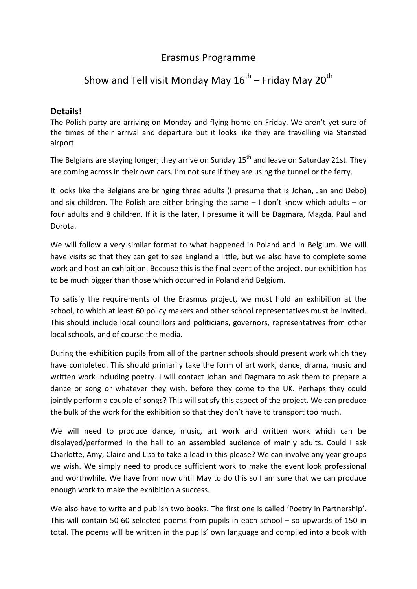# Erasmus Programme

# Show and Tell visit Monday May 16 $^{\rm th}$  – Friday May 20 $^{\rm th}$

## **Details!**

The Polish party are arriving on Monday and flying home on Friday. We aren't yet sure of the times of their arrival and departure but it looks like they are travelling via Stansted airport.

The Belgians are staying longer; they arrive on Sunday  $15<sup>th</sup>$  and leave on Saturday 21st. They are coming across in their own cars. I'm not sure if they are using the tunnel or the ferry.

It looks like the Belgians are bringing three adults (I presume that is Johan, Jan and Debo) and six children. The Polish are either bringing the same – I don't know which adults – or four adults and 8 children. If it is the later, I presume it will be Dagmara, Magda, Paul and Dorota.

We will follow a very similar format to what happened in Poland and in Belgium. We will have visits so that they can get to see England a little, but we also have to complete some work and host an exhibition. Because this is the final event of the project, our exhibition has to be much bigger than those which occurred in Poland and Belgium.

To satisfy the requirements of the Erasmus project, we must hold an exhibition at the school, to which at least 60 policy makers and other school representatives must be invited. This should include local councillors and politicians, governors, representatives from other local schools, and of course the media.

During the exhibition pupils from all of the partner schools should present work which they have completed. This should primarily take the form of art work, dance, drama, music and written work including poetry. I will contact Johan and Dagmara to ask them to prepare a dance or song or whatever they wish, before they come to the UK. Perhaps they could jointly perform a couple of songs? This will satisfy this aspect of the project. We can produce the bulk of the work for the exhibition so that they don't have to transport too much.

We will need to produce dance, music, art work and written work which can be displayed/performed in the hall to an assembled audience of mainly adults. Could I ask Charlotte, Amy, Claire and Lisa to take a lead in this please? We can involve any year groups we wish. We simply need to produce sufficient work to make the event look professional and worthwhile. We have from now until May to do this so I am sure that we can produce enough work to make the exhibition a success.

We also have to write and publish two books. The first one is called 'Poetry in Partnership'. This will contain 50-60 selected poems from pupils in each school – so upwards of 150 in total. The poems will be written in the pupils' own language and compiled into a book with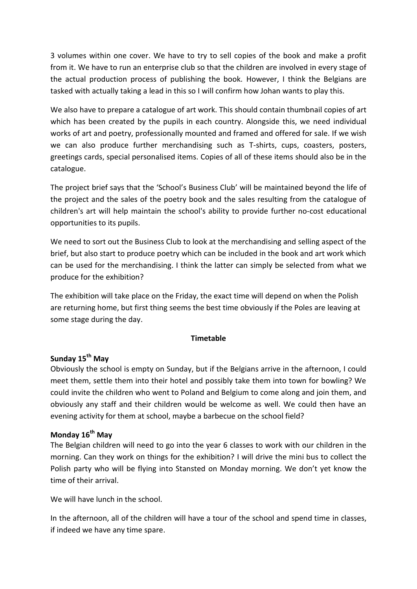3 volumes within one cover. We have to try to sell copies of the book and make a profit from it. We have to run an enterprise club so that the children are involved in every stage of the actual production process of publishing the book. However, I think the Belgians are tasked with actually taking a lead in this so I will confirm how Johan wants to play this.

We also have to prepare a catalogue of art work. This should contain thumbnail copies of art which has been created by the pupils in each country. Alongside this, we need individual works of art and poetry, professionally mounted and framed and offered for sale. If we wish we can also produce further merchandising such as T-shirts, cups, coasters, posters, greetings cards, special personalised items. Copies of all of these items should also be in the catalogue.

The project brief says that the 'School's Business Club' will be maintained beyond the life of the project and the sales of the poetry book and the sales resulting from the catalogue of children's art will help maintain the school's ability to provide further no-cost educational opportunities to its pupils.

We need to sort out the Business Club to look at the merchandising and selling aspect of the brief, but also start to produce poetry which can be included in the book and art work which can be used for the merchandising. I think the latter can simply be selected from what we produce for the exhibition?

The exhibition will take place on the Friday, the exact time will depend on when the Polish are returning home, but first thing seems the best time obviously if the Poles are leaving at some stage during the day.

## **Timetable**

#### **Sunday 15th May**

Obviously the school is empty on Sunday, but if the Belgians arrive in the afternoon, I could meet them, settle them into their hotel and possibly take them into town for bowling? We could invite the children who went to Poland and Belgium to come along and join them, and obviously any staff and their children would be welcome as well. We could then have an evening activity for them at school, maybe a barbecue on the school field?

#### **Monday 16th May**

The Belgian children will need to go into the year 6 classes to work with our children in the morning. Can they work on things for the exhibition? I will drive the mini bus to collect the Polish party who will be flying into Stansted on Monday morning. We don't yet know the time of their arrival.

We will have lunch in the school.

In the afternoon, all of the children will have a tour of the school and spend time in classes, if indeed we have any time spare.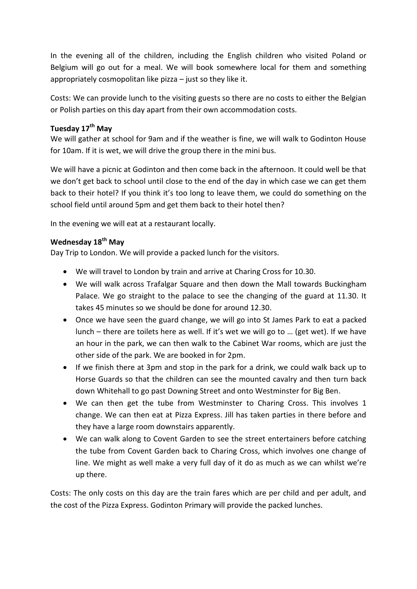In the evening all of the children, including the English children who visited Poland or Belgium will go out for a meal. We will book somewhere local for them and something appropriately cosmopolitan like pizza – just so they like it.

Costs: We can provide lunch to the visiting guests so there are no costs to either the Belgian or Polish parties on this day apart from their own accommodation costs.

## **Tuesday 17th May**

We will gather at school for 9am and if the weather is fine, we will walk to Godinton House for 10am. If it is wet, we will drive the group there in the mini bus.

We will have a picnic at Godinton and then come back in the afternoon. It could well be that we don't get back to school until close to the end of the day in which case we can get them back to their hotel? If you think it's too long to leave them, we could do something on the school field until around 5pm and get them back to their hotel then?

In the evening we will eat at a restaurant locally.

## **Wednesday 18th May**

Day Trip to London. We will provide a packed lunch for the visitors.

- We will travel to London by train and arrive at Charing Cross for 10.30.
- We will walk across Trafalgar Square and then down the Mall towards Buckingham Palace. We go straight to the palace to see the changing of the guard at 11.30. It takes 45 minutes so we should be done for around 12.30.
- Once we have seen the guard change, we will go into St James Park to eat a packed lunch – there are toilets here as well. If it's wet we will go to … (get wet). If we have an hour in the park, we can then walk to the Cabinet War rooms, which are just the other side of the park. We are booked in for 2pm.
- If we finish there at 3pm and stop in the park for a drink, we could walk back up to Horse Guards so that the children can see the mounted cavalry and then turn back down Whitehall to go past Downing Street and onto Westminster for Big Ben.
- We can then get the tube from Westminster to Charing Cross. This involves 1 change. We can then eat at Pizza Express. Jill has taken parties in there before and they have a large room downstairs apparently.
- We can walk along to Covent Garden to see the street entertainers before catching the tube from Covent Garden back to Charing Cross, which involves one change of line. We might as well make a very full day of it do as much as we can whilst we're up there.

Costs: The only costs on this day are the train fares which are per child and per adult, and the cost of the Pizza Express. Godinton Primary will provide the packed lunches.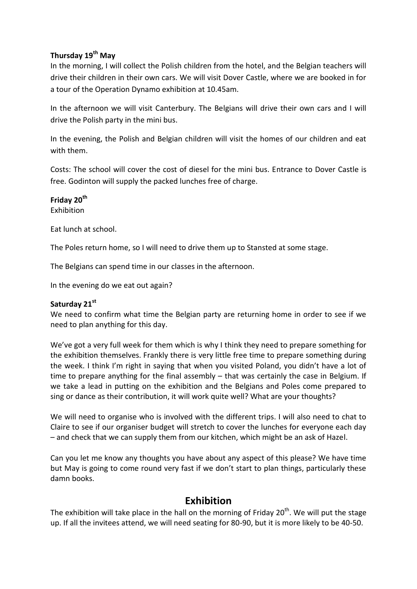## **Thursday 19th May**

In the morning, I will collect the Polish children from the hotel, and the Belgian teachers will drive their children in their own cars. We will visit Dover Castle, where we are booked in for a tour of the Operation Dynamo exhibition at 10.45am.

In the afternoon we will visit Canterbury. The Belgians will drive their own cars and I will drive the Polish party in the mini bus.

In the evening, the Polish and Belgian children will visit the homes of our children and eat with them.

Costs: The school will cover the cost of diesel for the mini bus. Entrance to Dover Castle is free. Godinton will supply the packed lunches free of charge.

**Friday 20th**

Exhibition

Eat lunch at school.

The Poles return home, so I will need to drive them up to Stansted at some stage.

The Belgians can spend time in our classes in the afternoon.

In the evening do we eat out again?

## **Saturday 21st**

We need to confirm what time the Belgian party are returning home in order to see if we need to plan anything for this day.

We've got a very full week for them which is why I think they need to prepare something for the exhibition themselves. Frankly there is very little free time to prepare something during the week. I think I'm right in saying that when you visited Poland, you didn't have a lot of time to prepare anything for the final assembly – that was certainly the case in Belgium. If we take a lead in putting on the exhibition and the Belgians and Poles come prepared to sing or dance as their contribution, it will work quite well? What are your thoughts?

We will need to organise who is involved with the different trips. I will also need to chat to Claire to see if our organiser budget will stretch to cover the lunches for everyone each day – and check that we can supply them from our kitchen, which might be an ask of Hazel.

Can you let me know any thoughts you have about any aspect of this please? We have time but May is going to come round very fast if we don't start to plan things, particularly these damn books.

# **Exhibition**

The exhibition will take place in the hall on the morning of Friday 20<sup>th</sup>. We will put the stage up. If all the invitees attend, we will need seating for 80-90, but it is more likely to be 40-50.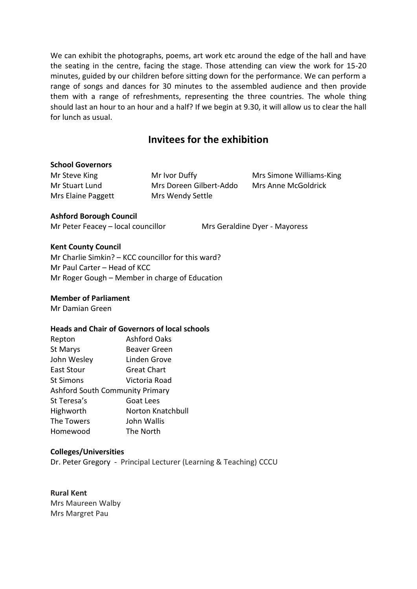We can exhibit the photographs, poems, art work etc around the edge of the hall and have the seating in the centre, facing the stage. Those attending can view the work for 15-20 minutes, guided by our children before sitting down for the performance. We can perform a range of songs and dances for 30 minutes to the assembled audience and then provide them with a range of refreshments, representing the three countries. The whole thing should last an hour to an hour and a half? If we begin at 9.30, it will allow us to clear the hall for lunch as usual.

# **Invitees for the exhibition**

#### **School Governors**

Mr Steve King **Mr Ivor Duffy** Mrs Simone Williams-King Mr Stuart Lund Mrs Doreen Gilbert-Addo Mrs Anne McGoldrick Mrs Elaine Paggett Mrs Wendy Settle

#### **Ashford Borough Council**

Mr Peter Feacey – local councillor Mrs Geraldine Dyer - Mayoress

**Kent County Council**

Mr Charlie Simkin? – KCC councillor for this ward? Mr Paul Carter – Head of KCC Mr Roger Gough – Member in charge of Education

#### **Member of Parliament**

Mr Damian Green

#### **Heads and Chair of Governors of local schools**

| Repton                                 | <b>Ashford Oaks</b> |
|----------------------------------------|---------------------|
| St Marys                               | Beaver Green        |
| John Wesley                            | Linden Grove        |
| East Stour                             | <b>Great Chart</b>  |
| <b>St Simons</b>                       | Victoria Road       |
| <b>Ashford South Community Primary</b> |                     |
| St Teresa's                            | Goat Lees           |
| Highworth                              | Norton Knatchbull   |
| The Towers                             | John Wallis         |
| Homewood                               | The North           |

#### **Colleges/Universities**

Dr. Peter Gregory - Principal Lecturer (Learning & Teaching) CCCU

**Rural Kent** Mrs Maureen Walby Mrs Margret Pau